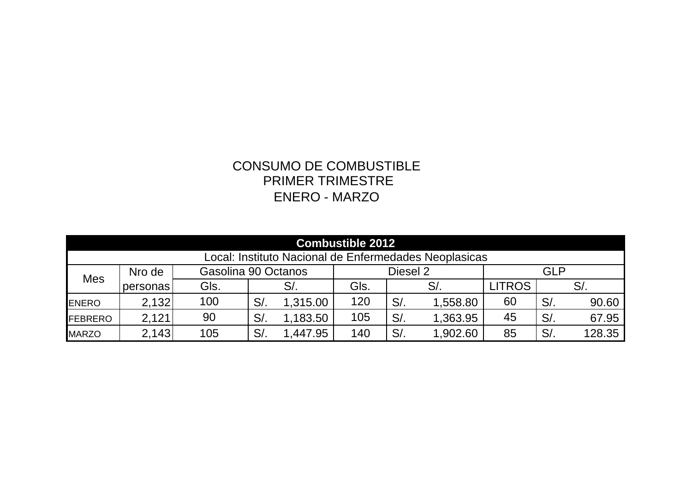## PRIMER TRIMESTRE CONSUMO DE COMBUSTIBLE ENERO - MARZO

| <b>Combustible 2012</b>                               |          |                     |        |          |          |        |          |               |        |        |
|-------------------------------------------------------|----------|---------------------|--------|----------|----------|--------|----------|---------------|--------|--------|
| Local: Instituto Nacional de Enfermedades Neoplasicas |          |                     |        |          |          |        |          |               |        |        |
| <b>Mes</b>                                            | Nro de   | Gasolina 90 Octanos |        |          | Diesel 2 |        |          | <b>GLP</b>    |        |        |
|                                                       | personas | Gls.                |        | $S$ .    | GIs.     | $S/$ . |          | <b>LITROS</b> |        | S/     |
| <b>ENERO</b>                                          | 2,132    | 100                 | S/     | 1,315.00 | 120      | $S/$ . | 1,558.80 | 60            | S/     | 90.60  |
| <b>IFEBRERO</b>                                       | 2,121    | 90                  | $S/$ . | 1,183.50 | 105      | $S/$ . | 1,363.95 | 45            | $S/$ . | 67.95  |
| <b>MARZO</b>                                          | 2,143    | 105                 | $S$ .  | 447.95   | 140      | S/     | 1,902.60 | 85            | $S/$ . | 128.35 |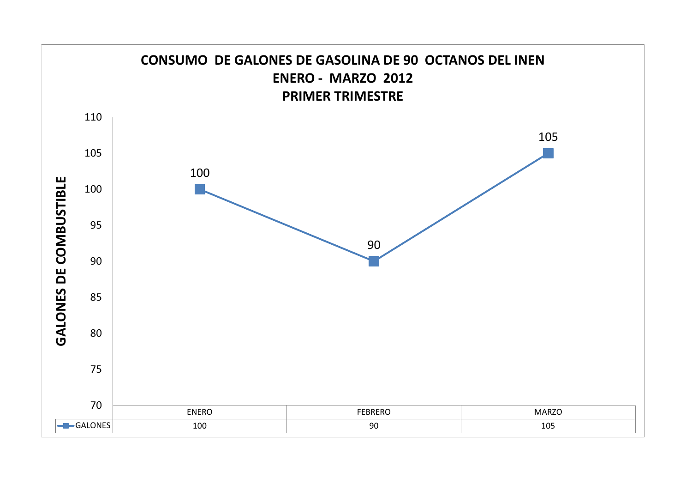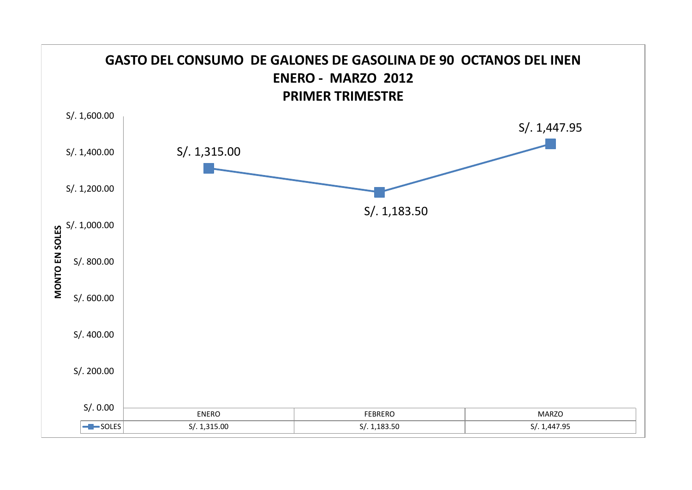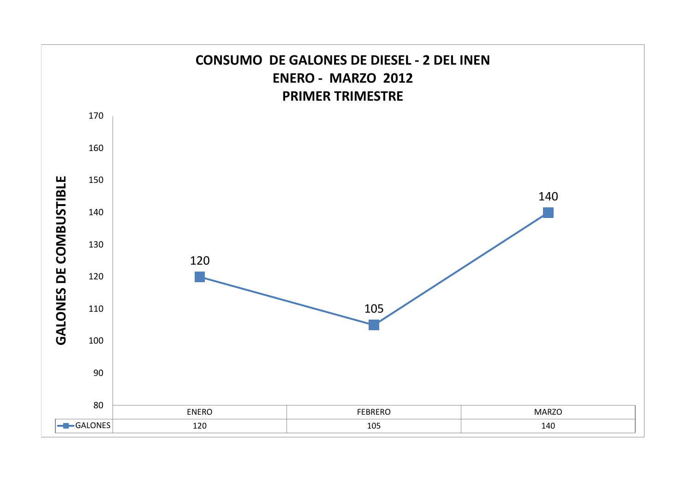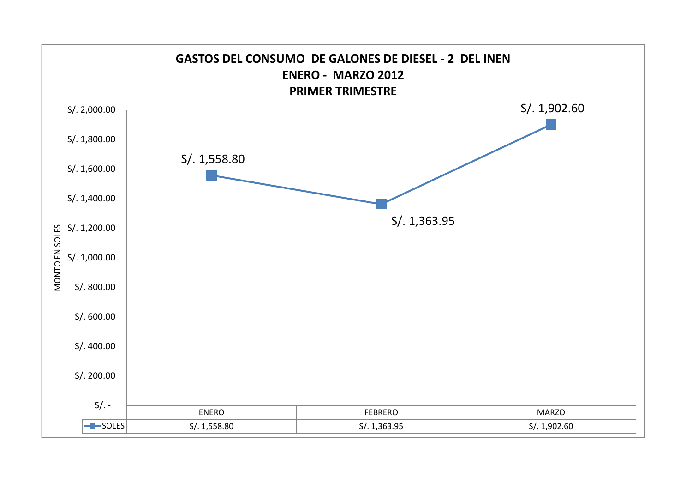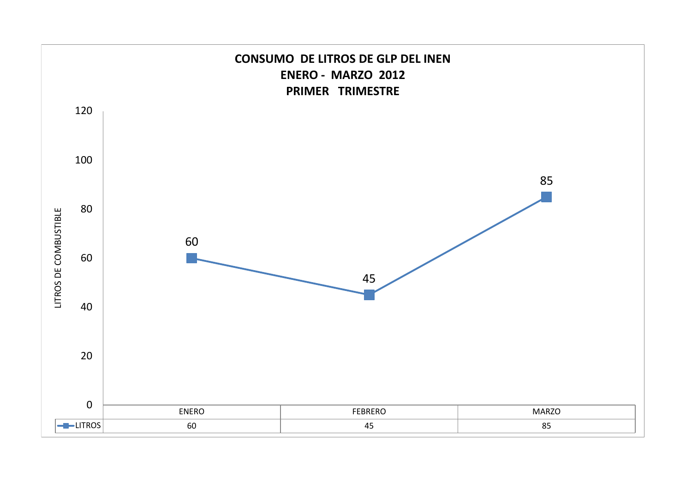